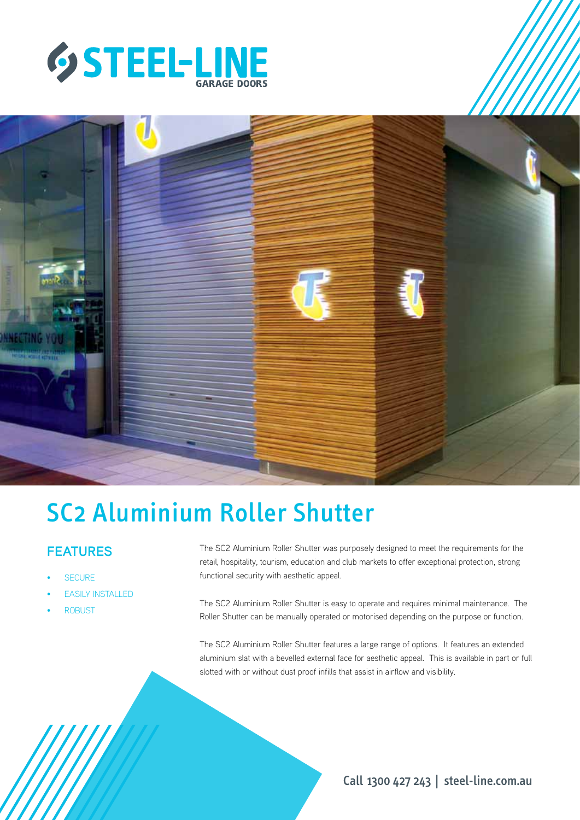



# SC2 Aluminium Roller Shutter

## **FEATURES**

- **SECURE**
- **EASILY INSTALLED**
- **ROBUST**

The SC2 Aluminium Roller Shutter was purposely designed to meet the requirements for the retail, hospitality, tourism, education and club markets to offer exceptional protection, strong functional security with aesthetic appeal.

The SC2 Aluminium Roller Shutter is easy to operate and requires minimal maintenance. The Roller Shutter can be manually operated or motorised depending on the purpose or function.

The SC2 Aluminium Roller Shutter features a large range of options. It features an extended aluminium slat with a bevelled external face for aesthetic appeal. This is available in part or full slotted with or without dust proof infills that assist in airflow and visibility.

Call 1300 427 243 | steel-line.com.au